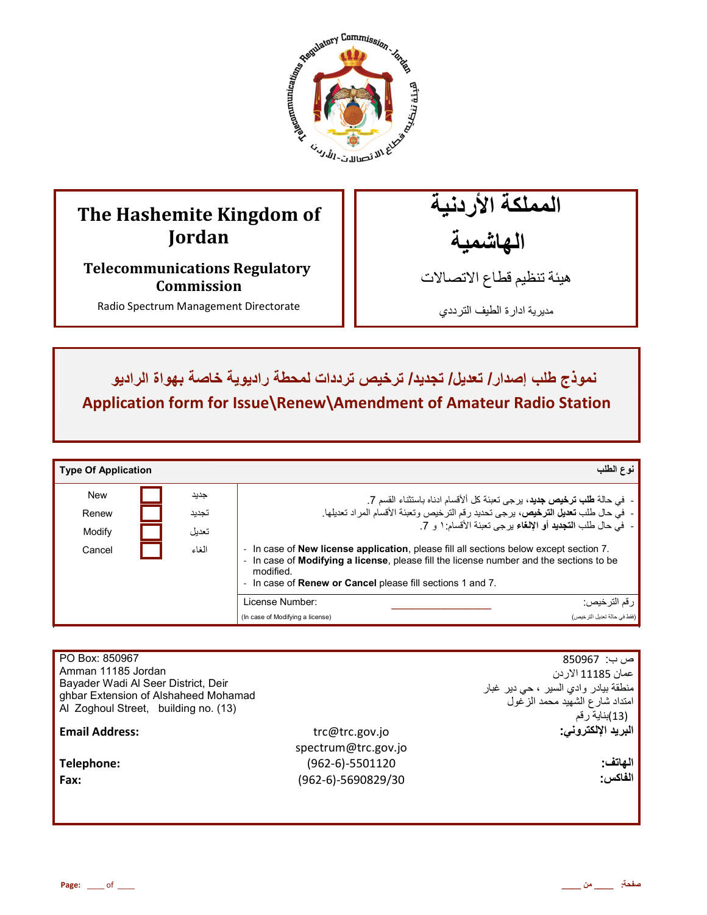

# **The Hashemite Kingdom of Jordan**

**Telecommunications Regulatory Commission** 

Radio Spectrum Management Directorate

المملكة الأردنية الـهاشمية

هيئة تنظيم قطاع الاتصـالات

مديرية ادارة الطيف الترددي

نموذج طلب إصدار / تعديل/ تجديد/ ترخيص ترددات لمحطة راديوية خاصة بهواة الراديو **Application form for Issue\Renew\Amendment of Amateur Radio Station**

| <b>Type Of Application</b> |       | نوع الطلب                                                                                                                                                                                                                                                                       |
|----------------------------|-------|---------------------------------------------------------------------------------------------------------------------------------------------------------------------------------------------------------------------------------------------------------------------------------|
| <b>New</b>                 | جديد  |                                                                                                                                                                                                                                                                                 |
| Renew                      | تجديد | -  في حالة <b>طلب ترخيص جديد</b> ، يرجى تعبئة كل ألأقسام ادناه باستثناء القسم 7 <sub>.</sub><br>-  في حال طلب <b>تعديل الترخيص</b> ، يرجى تحديد رقم الترخيص وتعبئة الأقسام المراد تعديلها.                                                                                      |
| Modify                     | تعديل | -   في حال طلب ا <b>لتجديد</b> أو الإلغاء بر جي تعبئة الأقسام: ١ و   7.                                                                                                                                                                                                         |
| Cancel                     | الغاء | In case of <b>New license application</b> , please fill all sections below except section 7.<br>In case of <b>Modifying a license</b> , please fill the license number and the sections to be<br>modified.<br>- In case of <b>Renew or Cancel</b> please fill sections 1 and 7. |
|                            |       | License Number:<br>ر قم الترخيص:                                                                                                                                                                                                                                                |
|                            |       | (فقط في حالة تعديل التر خيص)<br>(In case of Modifying a license)                                                                                                                                                                                                                |

| PO Box: 850967                       |                     | ص ب:  850967                         |
|--------------------------------------|---------------------|--------------------------------------|
| Amman 11185 Jordan                   |                     | عمان 11185 الار دن                   |
| Bayader Wadi Al Seer District, Deir  |                     | منطقة بيادر وادي السير ، حي دير غبار |
| ghbar Extension of Alshaheed Mohamad |                     | امتداد شارع الشهيد محمد الزغول       |
| Al Zoghoul Street, building no. (13) |                     | (13)بناية رقم                        |
| <b>Email Address:</b>                | trc@trc.gov.jo      | البريد الإلكتروني.                   |
|                                      | spectrum@trc.gov.jo |                                      |
| Telephone:                           | (962-6)-5501120     | الهاتف:                              |
|                                      |                     |                                      |
| Fax:                                 | (962-6)-5690829/30  | الفاكس:                              |
|                                      |                     |                                      |
|                                      |                     |                                      |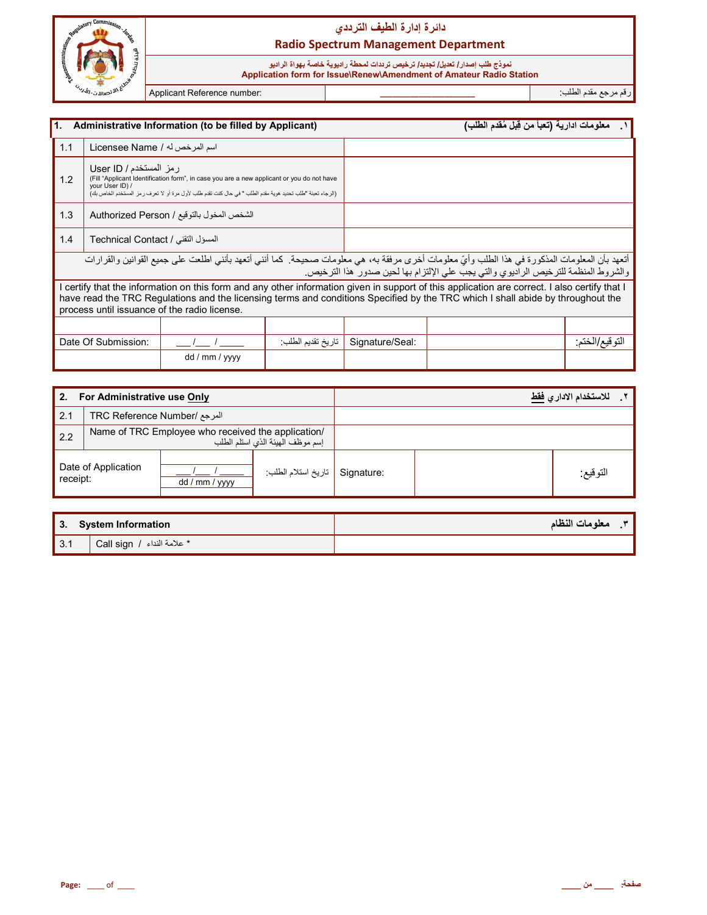

## دائرة إدارة الطيف الترد*دي* **Radio Spectrum Management Department**

## نموذج طلب إصدا*ر | تعديل| تجديد| تر*خيص ترددات لمحطة راديوية خاصة بهواة الراديو

 **Application form for Issue\Renew\Amendment of Amateur Radio Station**

رم رf دم اط\*ب: **\_\_\_\_\_\_\_\_\_\_\_\_\_\_\_\_\_\_\_\_\_\_** :number Reference Applicant

| I1.<br>Administrative Information (to be filled by Applicant)                                                                                                                                                                                                                                                                    |                                            |                                                                                                                                                                                                         |                   | معلومات ادارية (تعبأ من قِبل مُقدم الطلب) |  |                |
|----------------------------------------------------------------------------------------------------------------------------------------------------------------------------------------------------------------------------------------------------------------------------------------------------------------------------------|--------------------------------------------|---------------------------------------------------------------------------------------------------------------------------------------------------------------------------------------------------------|-------------------|-------------------------------------------|--|----------------|
| 1.1                                                                                                                                                                                                                                                                                                                              | اسم المرخص له / Licensee Name              |                                                                                                                                                                                                         |                   |                                           |  |                |
| 1.2                                                                                                                                                                                                                                                                                                                              | ر مز المستخدم / User ID<br>your User ID) / | (Fill "Applicant Identification form", in case you are a new applicant or you do not have<br>(الرجاء تعبئة "طلب تحديد هوية مقدم الطلب " في حال كنت تقدم طلب لأول مرة أو لا تعرف ر مز المستخدم الخاص بك) |                   |                                           |  |                |
| 1.3                                                                                                                                                                                                                                                                                                                              |                                            | الشخص المخول بالتوقيع / Authorized Person                                                                                                                                                               |                   |                                           |  |                |
| 1.4                                                                                                                                                                                                                                                                                                                              | المسؤل التقني / Technical Contact          |                                                                                                                                                                                                         |                   |                                           |  |                |
| أتعهد بأن المعلومات المذكورة في هذا الطلب وأيّ معلومات أخرى مرفقة به، هي معلومات صحيحة. كما أنني أتعهد بأنني اطلعت على جميع القوانين والقرارات<br>والشروط المنظمة للترخيص الراديوي والتي يجب على الإلتزام بها لحين صدور هذا الترخيص.                                                                                             |                                            |                                                                                                                                                                                                         |                   |                                           |  |                |
| I certify that the information on this form and any other information given in support of this application are correct. I also certify that I<br>have read the TRC Regulations and the licensing terms and conditions Specified by the TRC which I shall abide by throughout the<br>process until issuance of the radio license. |                                            |                                                                                                                                                                                                         |                   |                                           |  |                |
|                                                                                                                                                                                                                                                                                                                                  |                                            |                                                                                                                                                                                                         |                   |                                           |  |                |
|                                                                                                                                                                                                                                                                                                                                  | Date Of Submission:                        |                                                                                                                                                                                                         | تاريخ تقديم الطلب | Signature/Seal:                           |  | النو فيع/الخنم |
|                                                                                                                                                                                                                                                                                                                                  |                                            | dd / mm / yyyy                                                                                                                                                                                          |                   |                                           |  |                |

| 2.<br>For Administrative use Only |                              |                                                    |                                  | للاستخدام الادار ي <u>فقط</u> |          |  |
|-----------------------------------|------------------------------|----------------------------------------------------|----------------------------------|-------------------------------|----------|--|
| 2.1                               | المرجع /TRC Reference Number |                                                    |                                  |                               |          |  |
| 2.2                               |                              | Name of TRC Employee who received the application/ | إسم موظف الهيئة الذي استلم الطلب |                               |          |  |
| Date of Application<br>receipt:   |                              | dd / mm / yyyy                                     | تاريخ استلام الطلب               | Signature:                    | التوقيع: |  |

| 3. System Information |                                                 | معلومات النظام |
|-----------------------|-------------------------------------------------|----------------|
| $\vert$ 3.1           | $^{\prime}$ Call sign / حلامة النداء $^{\star}$ |                |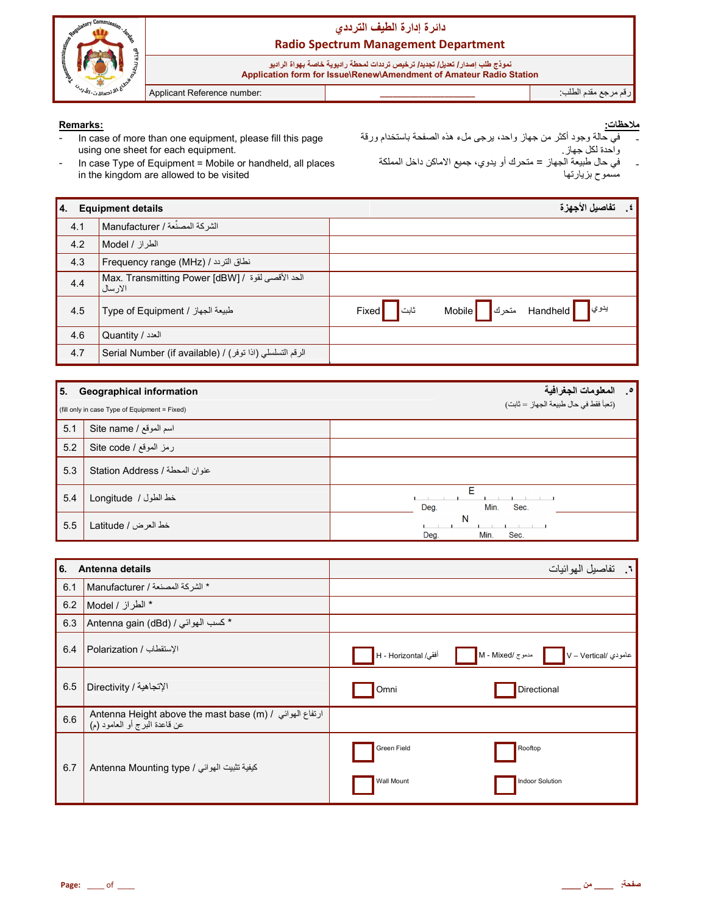

#### Remarks:

- In case of more than one equipment, please fill this page  $\overline{a}$ using one sheet for each equipment.
- In case Type of Equipment = Mobile or handheld, all places
- - في حاله وجود انتز من جهاز واحد، يزجى منء هذه الصنعمة باستخدام و<br>واحدة لكل جهاز .<br>في حال طبيعة الجهاز = متحرك أو يدوي، جميع الاماكن داخل المملكة<br>مسموح بزيارتها
- in the kingdom are allowed to be visited

| 14. | <b>Equipment details</b>                                      |                                     |        | تفاصيل الأجهزة                                    | $\cdot$ $\epsilon$ |
|-----|---------------------------------------------------------------|-------------------------------------|--------|---------------------------------------------------|--------------------|
| 4.1 | الشركة المصنِّعة / Manufacturer                               |                                     |        |                                                   |                    |
| 4.2 | الطراز / Model ا                                              |                                     |        |                                                   |                    |
| 4.3 | Frequency range (MHz) / نطاق التردد /                         |                                     |        |                                                   |                    |
| 4.4 | الحد الأقصىي لقوة / Max. Transmitting Power [dBW]<br>الار سال |                                     |        |                                                   |                    |
| 4.5 | طبيعة الجهاز / Type of Equipment                              | ثابت <mark>ا</mark><br><b>Fixed</b> | Mobile | يدوي <mark> </mark> Handheld متحرك <mark> </mark> |                    |
| 4.6 | العدد / Quantity                                              |                                     |        |                                                   |                    |
| 4.7 | الرقم التسلسلي (اذا توفر) / Serial Number (if available)      |                                     |        |                                                   |                    |

| 5.  | <b>Geographical information</b>               | المعلومات الجغرافية<br>$\cdot$        |
|-----|-----------------------------------------------|---------------------------------------|
|     | (fill only in case Type of Equipment = Fixed) | (تعبأ فقط في حال طبيعة الجهاز = ثابت) |
| 5.1 | اسم الموقع / Site name                        |                                       |
| 5.2 | رمز الموقع / Site code                        |                                       |
| 5.3 | عنوان المحطة / Station Address                |                                       |
| 5.4 | خط الطول / Longitude                          | F<br>Min.<br>Deg.<br>Sec.             |
| 5.5 | خط العرض / Latitude                           | N<br>Deg.<br>Min.<br>Sec.             |

| l 6.<br>Antenna details |                                                                                                                               |                           | ٦. تفاصيل المهوائيات                     |
|-------------------------|-------------------------------------------------------------------------------------------------------------------------------|---------------------------|------------------------------------------|
| 6.1                     | * الشركة المصنعة / Manufacturer                                                                                               |                           |                                          |
| 6.2                     | * الطراز / Model                                                                                                              |                           |                                          |
| 6.3                     | * كسب الهوائي / Antenna gain (dBd)                                                                                            |                           |                                          |
| 6.4                     | الإستقطاب / Polarization                                                                                                      | أفقى/ H - Horizontal      | مدموج /M - Mixed<br>عامودي /V – Vertical |
| 6.5                     | الإتجاهية / Directivity                                                                                                       | Omni                      | Directional                              |
| 6.6                     | Antenna Height above the mast base (m) / ارتفاع الهوائي / Antenna Height above the mast base<br>عن قاعدة البرج أو العامود (م) |                           |                                          |
| 6.7                     | كيفية تثبيت الهوائي / Antenna Mounting type                                                                                   | Green Field<br>Wall Mount | Rooftop<br>Indoor Solution               |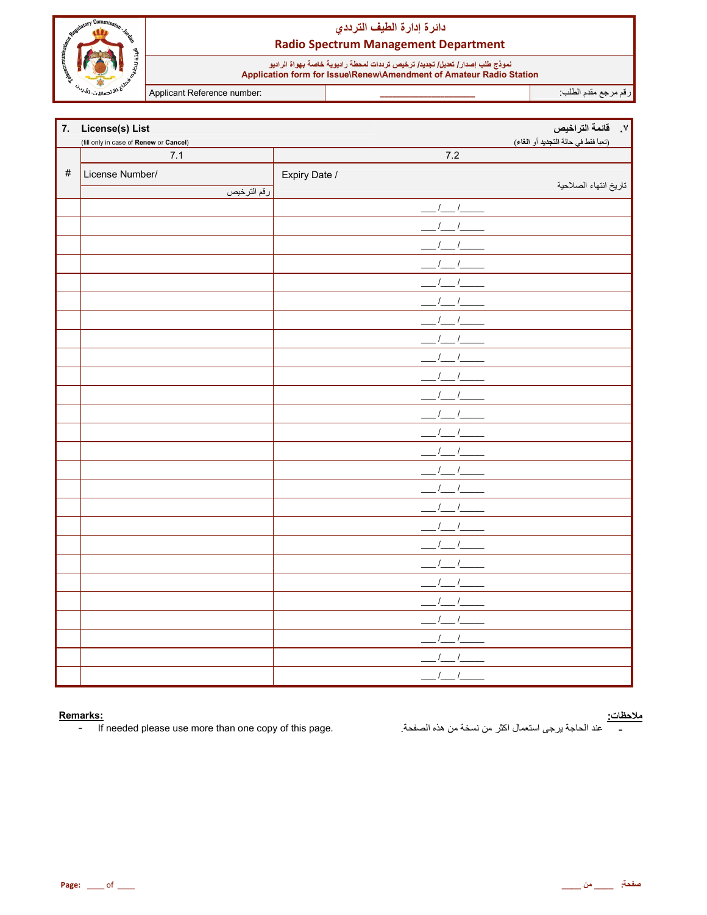

## دائرة إدارة الطيف الترددي **Radio Spectrum Management Department**

نموذج طلب إصدار/ تعديل/ تجديد/ ترخيص تريدات لمحطة راديوية خاصة بهواة الراديو<br>Application form for Issue\Renew\Amendment of Amateur Radio Station

Applicant Reference number:

رقم مرجع مقدم الطلب<sup>.</sup>

| 7.   | <b>License(s) List</b>                 |                           | V. فائمة التراخيص                   |
|------|----------------------------------------|---------------------------|-------------------------------------|
|      | (fill only in case of Renew or Cancel) |                           | (تعبأ فقط في حالة التجديد أو الغاء) |
|      | $7.1$                                  | 7.2                       |                                     |
| $\#$ | License Number/                        | Expiry Date /             |                                     |
|      | رقم الترخيص                            |                           | تاريخ انتهاء الصلاحية               |
|      |                                        | $1 \quad 1$               |                                     |
|      |                                        |                           |                                     |
|      |                                        |                           |                                     |
|      |                                        |                           |                                     |
|      |                                        |                           |                                     |
|      |                                        |                           |                                     |
|      |                                        |                           |                                     |
|      |                                        |                           |                                     |
|      |                                        |                           |                                     |
|      |                                        |                           |                                     |
|      |                                        |                           |                                     |
|      |                                        |                           |                                     |
|      |                                        |                           |                                     |
|      |                                        |                           |                                     |
|      |                                        |                           |                                     |
|      |                                        |                           |                                     |
|      |                                        |                           |                                     |
|      |                                        |                           |                                     |
|      |                                        |                           |                                     |
|      |                                        |                           |                                     |
|      |                                        |                           |                                     |
|      |                                        |                           |                                     |
|      |                                        |                           |                                     |
|      |                                        |                           |                                     |
|      |                                        | $\sqrt{ }$                |                                     |
|      |                                        | $\prime$<br>$\frac{1}{2}$ |                                     |

#### Remarks:

If needed please use more than one copy of this page.  $\sim$